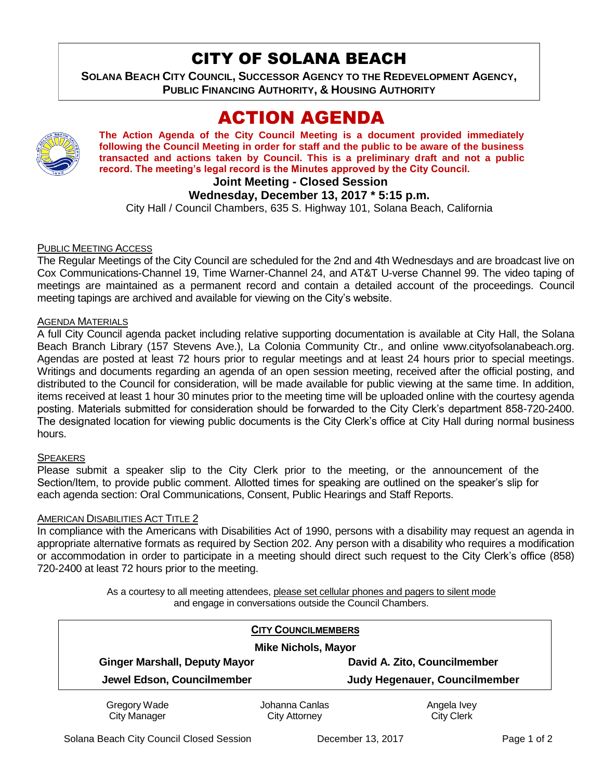## CITY OF SOLANA BEACH

**SOLANA BEACH CITY COUNCIL, SUCCESSOR AGENCY TO THE REDEVELOPMENT AGENCY, PUBLIC FINANCING AUTHORITY, & HOUSING AUTHORITY** 

# ACTION AGENDA



**The Action Agenda of the City Council Meeting is a document provided immediately following the Council Meeting in order for staff and the public to be aware of the business transacted and actions taken by Council. This is a preliminary draft and not a public record. The meeting's legal record is the Minutes approved by the City Council.**

**Joint Meeting - Closed Session**

## **Wednesday, December 13, 2017 \* 5:15 p.m.**

City Hall / Council Chambers, 635 S. Highway 101, Solana Beach, California

#### PUBLIC MEETING ACCESS

The Regular Meetings of the City Council are scheduled for the 2nd and 4th Wednesdays and are broadcast live on Cox Communications-Channel 19, Time Warner-Channel 24, and AT&T U-verse Channel 99. The video taping of meetings are maintained as a permanent record and contain a detailed account of the proceedings. Council meeting tapings are archived and available for viewing on the City's website.

#### AGENDA MATERIALS

A full City Council agenda packet including relative supporting documentation is available at City Hall, the Solana Beach Branch Library (157 Stevens Ave.), La Colonia Community Ctr., and online www.cityofsolanabeach.org. Agendas are posted at least 72 hours prior to regular meetings and at least 24 hours prior to special meetings. Writings and documents regarding an agenda of an open session meeting, received after the official posting, and distributed to the Council for consideration, will be made available for public viewing at the same time. In addition, items received at least 1 hour 30 minutes prior to the meeting time will be uploaded online with the courtesy agenda posting. Materials submitted for consideration should be forwarded to the City Clerk's department 858-720-2400. The designated location for viewing public documents is the City Clerk's office at City Hall during normal business hours.

#### SPEAKERS

Please submit a speaker slip to the City Clerk prior to the meeting, or the announcement of the Section/Item, to provide public comment. Allotted times for speaking are outlined on the speaker's slip for each agenda section: Oral Communications, Consent, Public Hearings and Staff Reports.

#### AMERICAN DISABILITIES ACT TITLE 2

In compliance with the Americans with Disabilities Act of 1990, persons with a disability may request an agenda in appropriate alternative formats as required by Section 202. Any person with a disability who requires a modification or accommodation in order to participate in a meeting should direct such request to the City Clerk's office (858) 720-2400 at least 72 hours prior to the meeting.

> As a courtesy to all meeting attendees, please set cellular phones and pagers to silent mode and engage in conversations outside the Council Chambers.

| <b>CITY COUNCILMEMBERS</b>           |                |                                      |
|--------------------------------------|----------------|--------------------------------------|
| <b>Mike Nichols, Mayor</b>           |                |                                      |
| <b>Ginger Marshall, Deputy Mayor</b> |                | David A. Zito, Councilmember         |
| Jewel Edson, Councilmember           |                | <b>Judy Hegenauer, Councilmember</b> |
| Gregory Wade                         | Johanna Canlas | Angela Ivey                          |
| <b>City Manager</b>                  | City Attorney  | <b>City Clerk</b>                    |